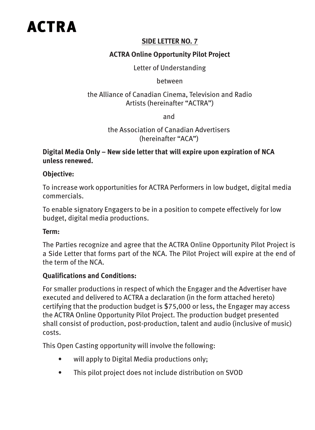# **ACTRA**

# **SIDE LETTER NO. 7**

# **ACTRA Online Opportunity Pilot Project**

Letter of Understanding

between

# the Alliance of Canadian Cinema, Television and Radio Artists (hereinafter "ACTRA")

and

the Association of Canadian Advertisers (hereinafter "ACA")

#### **Digital Media Only – New side letter that will expire upon expiration of NCA unless renewed.**

# **Objective:**

To increase work opportunities for ACTRA Performers in low budget, digital media commercials.

To enable signatory Engagers to be in a position to compete effectively for low budget, digital media productions.

# **Term:**

The Parties recognize and agree that the ACTRA Online Opportunity Pilot Project is a Side Letter that forms part of the NCA. The Pilot Project will expire at the end of the term of the NCA.

# **Qualifications and Conditions:**

For smaller productions in respect of which the Engager and the Advertiser have executed and delivered to ACTRA a declaration (in the form attached hereto) certifying that the production budget is \$75,000 or less, the Engager may access the ACTRA Online Opportunity Pilot Project. The production budget presented shall consist of production, post-production, talent and audio (inclusive of music) costs.

This Open Casting opportunity will involve the following:

- will apply to Digital Media productions only;
- This pilot project does not include distribution on SVOD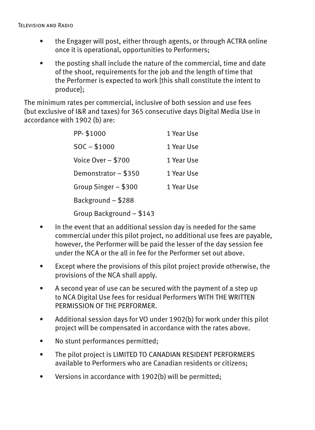- the Engager will post, either through agents, or through ACTRA online once it is operational, opportunities to Performers;
- the posting shall include the nature of the commercial, time and date of the shoot, requirements for the job and the length of time that the Performer is expected to work [this shall constitute the intent to produce];

The minimum rates per commercial, inclusive of both session and use fees (but exclusive of I&R and taxes) for 365 consecutive days Digital Media Use in accordance with 1902 (b) are:

| PP-\$1000                | 1 Year Use |
|--------------------------|------------|
| $SOC - $1000$            | 1 Year Use |
| Voice Over $-$ \$700     | 1 Year Use |
| Demonstrator - \$350     | 1 Year Use |
| Group Singer - \$300     | 1 Year Use |
| Background - \$288       |            |
| Group Background - \$143 |            |

- In the event that an additional session day is needed for the same commercial under this pilot project, no additional use fees are payable, however, the Performer will be paid the lesser of the day session fee under the NCA or the all in fee for the Performer set out above.
- Except where the provisions of this pilot project provide otherwise, the provisions of the NCA shall apply.
- A second year of use can be secured with the payment of a step up to NCA Digital Use fees for residual Performers WITH THE WRITTEN PERMISSION OF THE PERFORMER.
- Additional session days for VO under 1902(b) for work under this pilot project will be compensated in accordance with the rates above.
- No stunt performances permitted;
- The pilot project is LIMITED TO CANADIAN RESIDENT PERFORMERS available to Performers who are Canadian residents or citizens;
- Versions in accordance with 1902(b) will be permitted;